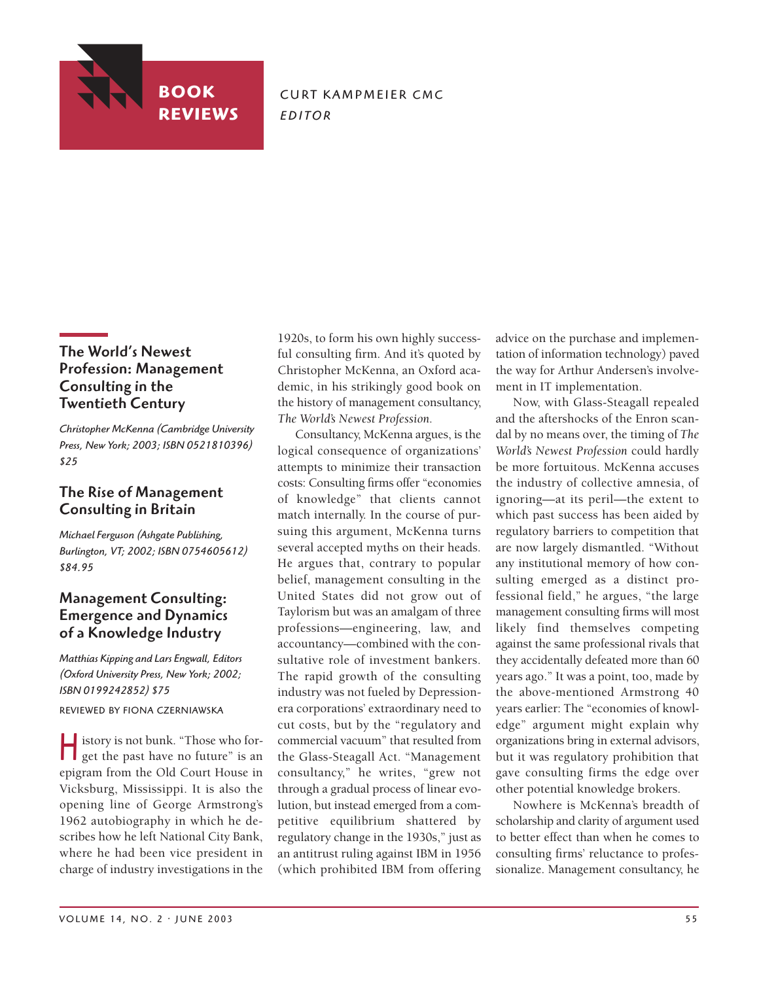

**CURT KAMPMEIER CMC** *E D I T O R*

## The World's Newest Profession: Management Consulting in the Twentieth Century

*Christopher McKenna (Cambridge University Press, New York; 2003; ISBN 0521810396) \$25*

## The Rise of Management Consulting in Britain

*Michael Ferguson (Ashgate Publishing, Burlington, VT; 2002; ISBN 0754605612) \$84.95*

## Management Consulting: Emergence and Dynamics of a Knowledge Industry

*Matthias Kipping and Lars Engwall, Editors (Oxford University Press, New York; 2002; ISBN 0199242852) \$75*

REVIEWED BY FIONA CZERNIAWSKA

History is not bunk. "Those who for-get the past have no future" is an epigram from the Old Court House in Vicksburg, Mississippi. It is also the opening line of George Armstrong's 1962 autobiography in which he describes how he left National City Bank, where he had been vice president in charge of industry investigations in the

1920s, to form his own highly successful consulting firm. And it's quoted by Christopher McKenna, an Oxford academic, in his strikingly good book on the history of management consultancy, *The World's Newest Profession.*

Consultancy, McKenna argues, is the logical consequence of organizations' attempts to minimize their transaction costs: Consulting firms offer "economies of knowledge" that clients cannot match internally. In the course of pursuing this argument, McKenna turns several accepted myths on their heads. He argues that, contrary to popular belief, management consulting in the United States did not grow out of Taylorism but was an amalgam of three professions—engineering, law, and accountancy—combined with the consultative role of investment bankers. The rapid growth of the consulting industry was not fueled by Depressionera corporations' extraordinary need to cut costs, but by the "regulatory and commercial vacuum" that resulted from the Glass-Steagall Act. "Management consultancy," he writes, "grew not through a gradual process of linear evolution, but instead emerged from a competitive equilibrium shattered by regulatory change in the 1930s," just as an antitrust ruling against IBM in 1956 (which prohibited IBM from offering

advice on the purchase and implementation of information technology) paved the way for Arthur Andersen's involvement in IT implementation.

Now, with Glass-Steagall repealed and the aftershocks of the Enron scandal by no means over, the timing of *The World's Newest Profession* could hardly be more fortuitous. McKenna accuses the industry of collective amnesia, of ignoring—at its peril—the extent to which past success has been aided by regulatory barriers to competition that are now largely dismantled. "Without any institutional memory of how consulting emerged as a distinct professional field," he argues, "the large management consulting firms will most likely find themselves competing against the same professional rivals that they accidentally defeated more than 60 years ago." It was a point, too, made by the above-mentioned Armstrong 40 years earlier: The "economies of knowledge" argument might explain why organizations bring in external advisors, but it was regulatory prohibition that gave consulting firms the edge over other potential knowledge brokers.

Nowhere is McKenna's breadth of scholarship and clarity of argument used to better effect than when he comes to consulting firms' reluctance to professionalize. Management consultancy, he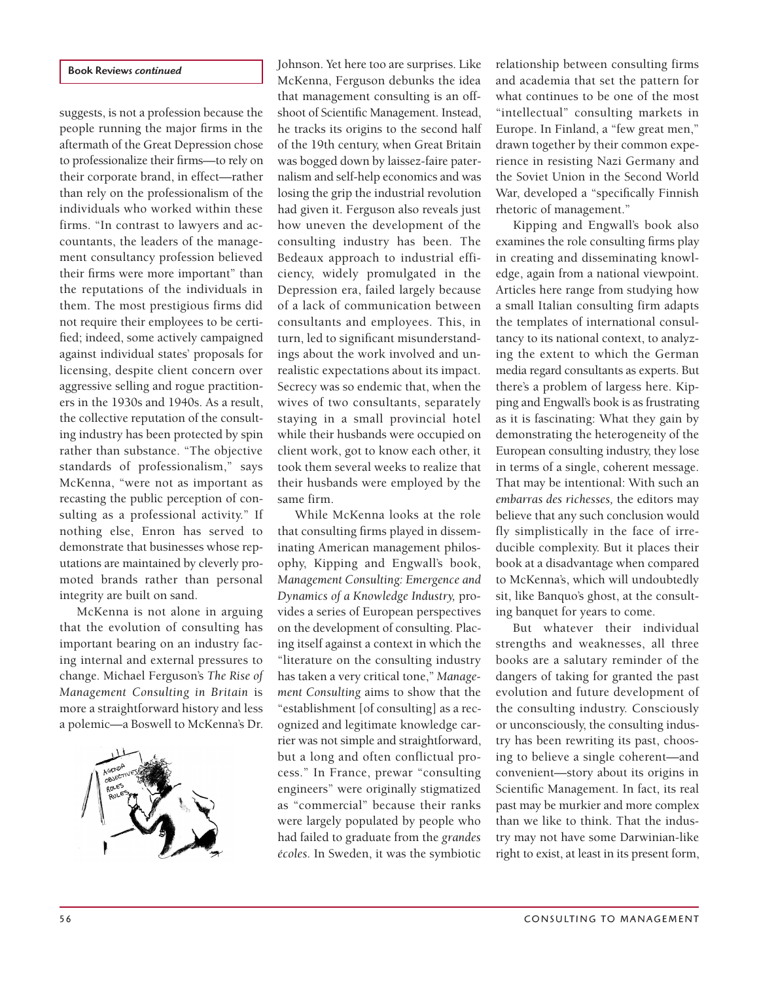#### Book Reviews *continued*

suggests, is not a profession because the people running the major firms in the aftermath of the Great Depression chose to professionalize their firms—to rely on their corporate brand, in effect—rather than rely on the professionalism of the individuals who worked within these firms. "In contrast to lawyers and accountants, the leaders of the management consultancy profession believed their firms were more important" than the reputations of the individuals in them. The most prestigious firms did not require their employees to be certified; indeed, some actively campaigned against individual states' proposals for licensing, despite client concern over aggressive selling and rogue practitioners in the 1930s and 1940s. As a result, the collective reputation of the consulting industry has been protected by spin rather than substance. "The objective standards of professionalism," says McKenna, "were not as important as recasting the public perception of consulting as a professional activity." If nothing else, Enron has served to demonstrate that businesses whose reputations are maintained by cleverly promoted brands rather than personal integrity are built on sand.

McKenna is not alone in arguing that the evolution of consulting has important bearing on an industry facing internal and external pressures to change. Michael Ferguson's *The Rise of Management Consulting in Britain* is more a straightforward history and less a polemic—a Boswell to McKenna's Dr.



Johnson. Yet here too are surprises. Like McKenna, Ferguson debunks the idea that management consulting is an offshoot of Scientific Management. Instead, he tracks its origins to the second half of the 19th century, when Great Britain was bogged down by laissez-faire paternalism and self-help economics and was losing the grip the industrial revolution had given it. Ferguson also reveals just how uneven the development of the consulting industry has been. The Bedeaux approach to industrial efficiency, widely promulgated in the Depression era, failed largely because of a lack of communication between consultants and employees. This, in turn, led to significant misunderstandings about the work involved and unrealistic expectations about its impact. Secrecy was so endemic that, when the wives of two consultants, separately staying in a small provincial hotel while their husbands were occupied on client work, got to know each other, it took them several weeks to realize that their husbands were employed by the same firm.

While McKenna looks at the role that consulting firms played in disseminating American management philosophy, Kipping and Engwall's book, *Management Consulting: Emergence and Dynamics of a Knowledge Industry,* provides a series of European perspectives on the development of consulting. Placing itself against a context in which the "literature on the consulting industry has taken a very critical tone," *Management Consulting* aims to show that the "establishment [of consulting] as a recognized and legitimate knowledge carrier was not simple and straightforward, but a long and often conflictual process." In France, prewar "consulting engineers" were originally stigmatized as "commercial" because their ranks were largely populated by people who had failed to graduate from the *grandes écoles.* In Sweden, it was the symbiotic

relationship between consulting firms and academia that set the pattern for what continues to be one of the most "intellectual" consulting markets in Europe. In Finland, a "few great men," drawn together by their common experience in resisting Nazi Germany and the Soviet Union in the Second World War, developed a "specifically Finnish rhetoric of management."

Kipping and Engwall's book also examines the role consulting firms play in creating and disseminating knowledge, again from a national viewpoint. Articles here range from studying how a small Italian consulting firm adapts the templates of international consultancy to its national context, to analyzing the extent to which the German media regard consultants as experts. But there's a problem of largess here. Kipping and Engwall's book is as frustrating as it is fascinating: What they gain by demonstrating the heterogeneity of the European consulting industry, they lose in terms of a single, coherent message. That may be intentional: With such an *embarras des richesses,* the editors may believe that any such conclusion would fly simplistically in the face of irreducible complexity. But it places their book at a disadvantage when compared to McKenna's, which will undoubtedly sit, like Banquo's ghost, at the consulting banquet for years to come.

But whatever their individual strengths and weaknesses, all three books are a salutary reminder of the dangers of taking for granted the past evolution and future development of the consulting industry. Consciously or unconsciously, the consulting industry has been rewriting its past, choosing to believe a single coherent—and convenient—story about its origins in Scientific Management. In fact, its real past may be murkier and more complex than we like to think. That the industry may not have some Darwinian-like right to exist, at least in its present form,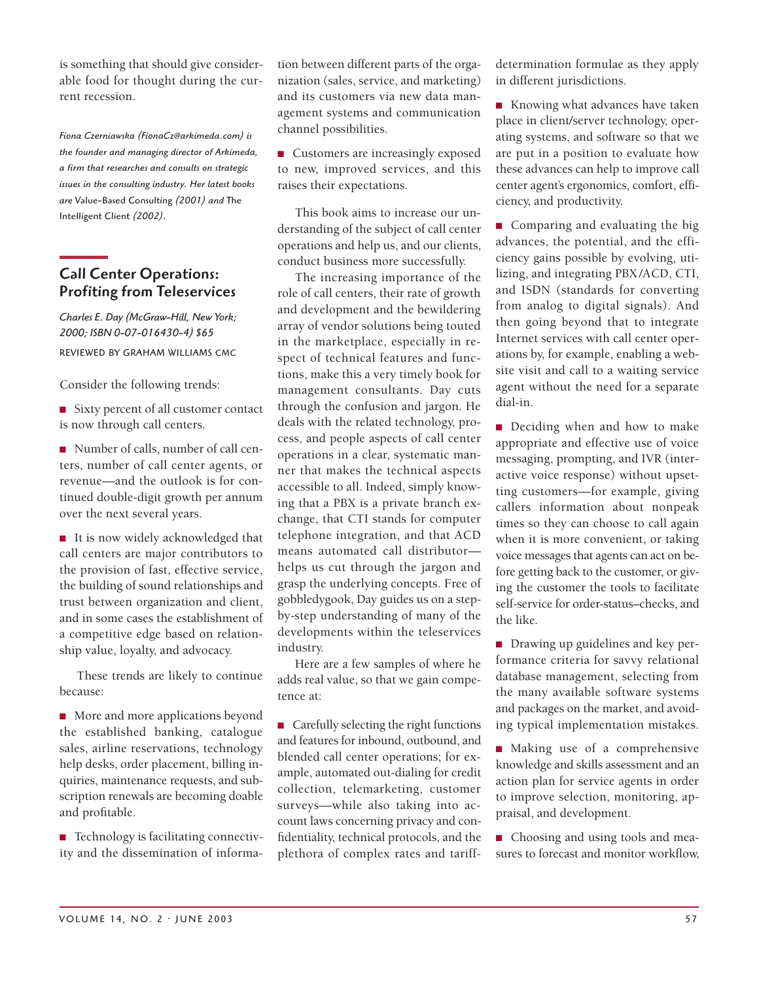is something that should give considerable food for thought during the current recession.

*Fiona Czerniawska (FionaCz@arkimeda.com) is the founder and managing director of Arkimeda, a firm that researches and consults on strategic issues in the consulting industry. Her latest books are* Value-Based Consulting *(2001) and* The Intelligent Client *(2002).*

## Call Center Operations: Profiting from Teleservices

*Charles E. Day (McGraw-Hill, New York; 2000; ISBN 0-07-016430-4) \$65* REVIEWED BY GRAHAM WILLIAMS CMC

Consider the following trends:

■ Sixty percent of all customer contact is now through call centers.

■ Number of calls, number of call centers, number of call center agents, or revenue—and the outlook is for continued double-digit growth per annum over the next several years.

■ It is now widely acknowledged that call centers are major contributors to the provision of fast, effective service, the building of sound relationships and trust between organization and client, and in some cases the establishment of a competitive edge based on relationship value, loyalty, and advocacy.

These trends are likely to continue because:

■ More and more applications beyond the established banking, catalogue sales, airline reservations, technology help desks, order placement, billing inquiries, maintenance requests, and subscription renewals are becoming doable and profitable.

■ Technology is facilitating connectivity and the dissemination of information between different parts of the organization (sales, service, and marketing) and its customers via new data management systems and communication channel possibilities.

■ Customers are increasingly exposed to new, improved services, and this raises their expectations.

This book aims to increase our understanding of the subject of call center operations and help us, and our clients, conduct business more successfully.

The increasing importance of the role of call centers, their rate of growth and development and the bewildering array of vendor solutions being touted in the marketplace, especially in respect of technical features and functions, make this a very timely book for management consultants. Day cuts through the confusion and jargon. He deals with the related technology, process, and people aspects of call center operations in a clear, systematic manner that makes the technical aspects accessible to all. Indeed, simply knowing that a PBX is a private branch exchange, that CTI stands for computer telephone integration, and that ACD means automated call distributor helps us cut through the jargon and grasp the underlying concepts. Free of gobbledygook, Day guides us on a stepby-step understanding of many of the developments within the teleservices industry.

Here are a few samples of where he adds real value, so that we gain competence at:

■ Carefully selecting the right functions and features for inbound, outbound, and blended call center operations; for example, automated out-dialing for credit collection, telemarketing, customer surveys—while also taking into account laws concerning privacy and confidentiality, technical protocols, and the plethora of complex rates and tariffdetermination formulae as they apply in different jurisdictions.

■ Knowing what advances have taken place in client/server technology, operating systems, and software so that we are put in a position to evaluate how these advances can help to improve call center agent's ergonomics, comfort, efficiency, and productivity.

■ Comparing and evaluating the big advances, the potential, and the efficiency gains possible by evolving, utilizing, and integrating PBX /ACD, CTI, and ISDN (standards for converting from analog to digital signals). And then going beyond that to integrate Internet services with call center operations by, for example, enabling a website visit and call to a waiting service agent without the need for a separate dial-in.

■ Deciding when and how to make appropriate and effective use of voice messaging, prompting, and IVR (interactive voice response) without upsetting customers—for example, giving callers information about nonpeak times so they can choose to call again when it is more convenient, or taking voice messages that agents can act on before getting back to the customer, or giving the customer the tools to facilitate self-service for order-status–checks, and the like.

■ Drawing up guidelines and key performance criteria for savvy relational database management, selecting from the many available software systems and packages on the market, and avoiding typical implementation mistakes.

■ Making use of a comprehensive knowledge and skills assessment and an action plan for service agents in order to improve selection, monitoring, appraisal, and development.

■ Choosing and using tools and measures to forecast and monitor workflow,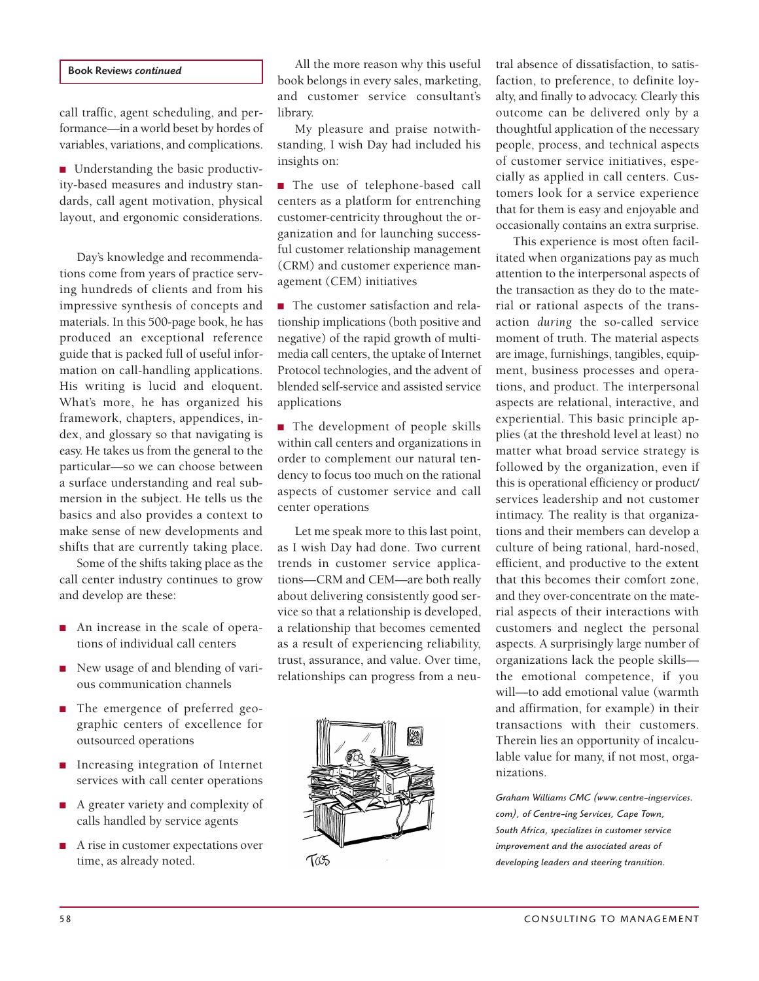#### Book Reviews *continued*

call traffic, agent scheduling, and performance—in a world beset by hordes of variables, variations, and complications.

■ Understanding the basic productivity-based measures and industry standards, call agent motivation, physical layout, and ergonomic considerations.

Day's knowledge and recommendations come from years of practice serving hundreds of clients and from his impressive synthesis of concepts and materials. In this 500-page book, he has produced an exceptional reference guide that is packed full of useful information on call-handling applications. His writing is lucid and eloquent. What's more, he has organized his framework, chapters, appendices, index, and glossary so that navigating is easy. He takes us from the general to the particular—so we can choose between a surface understanding and real submersion in the subject. He tells us the basics and also provides a context to make sense of new developments and shifts that are currently taking place.

Some of the shifts taking place as the call center industry continues to grow and develop are these:

- An increase in the scale of operations of individual call centers
- New usage of and blending of various communication channels
- The emergence of preferred geographic centers of excellence for outsourced operations
- Increasing integration of Internet services with call center operations
- A greater variety and complexity of calls handled by service agents
- A rise in customer expectations over time, as already noted.

All the more reason why this useful book belongs in every sales, marketing, and customer service consultant's library.

My pleasure and praise notwithstanding, I wish Day had included his insights on:

■ The use of telephone-based call centers as a platform for entrenching customer-centricity throughout the organization and for launching successful customer relationship management (CRM) and customer experience management (CEM) initiatives

■ The customer satisfaction and relationship implications (both positive and negative) of the rapid growth of multimedia call centers, the uptake of Internet Protocol technologies, and the advent of blended self-service and assisted service applications

■ The development of people skills within call centers and organizations in order to complement our natural tendency to focus too much on the rational aspects of customer service and call center operations

Let me speak more to this last point, as I wish Day had done. Two current trends in customer service applications—CRM and CEM—are both really about delivering consistently good service so that a relationship is developed, a relationship that becomes cemented as a result of experiencing reliability, trust, assurance, and value. Over time, relationships can progress from a neu-



tral absence of dissatisfaction, to satisfaction, to preference, to definite loyalty, and finally to advocacy. Clearly this outcome can be delivered only by a thoughtful application of the necessary people, process, and technical aspects of customer service initiatives, especially as applied in call centers. Customers look for a service experience that for them is easy and enjoyable and occasionally contains an extra surprise.

This experience is most often facilitated when organizations pay as much attention to the interpersonal aspects of the transaction as they do to the material or rational aspects of the transaction *during* the so-called service moment of truth. The material aspects are image, furnishings, tangibles, equipment, business processes and operations, and product. The interpersonal aspects are relational, interactive, and experiential. This basic principle applies (at the threshold level at least) no matter what broad service strategy is followed by the organization, even if this is operational efficiency or product/ services leadership and not customer intimacy. The reality is that organizations and their members can develop a culture of being rational, hard-nosed, efficient, and productive to the extent that this becomes their comfort zone, and they over-concentrate on the material aspects of their interactions with customers and neglect the personal aspects. A surprisingly large number of organizations lack the people skills the emotional competence, if you will—to add emotional value (warmth and affirmation, for example) in their transactions with their customers. Therein lies an opportunity of incalculable value for many, if not most, organizations.

*Graham Williams CMC (www.centre-ingservices. com), of Centre-ing Services, Cape Town, South Africa, specializes in customer service improvement and the associated areas of developing leaders and steering transition.*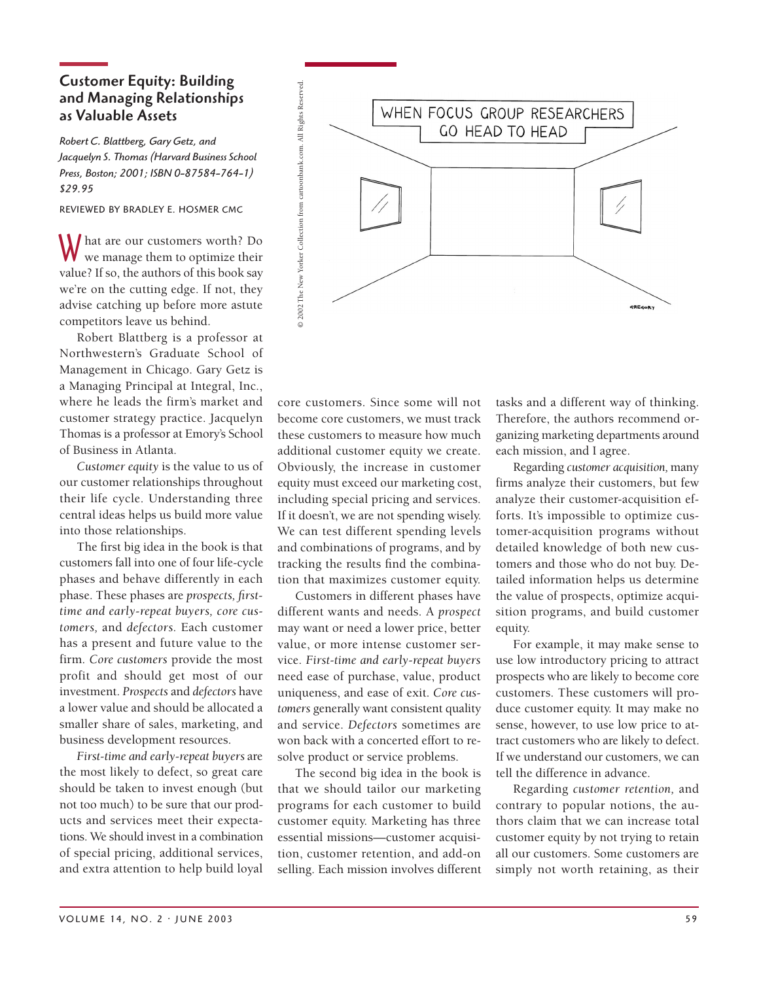# Customer Equity: Building and Managing Relationships as Valuable Assets

*Robert C. Blattberg, Gary Getz, and Jacquelyn S. Thomas (Harvard Business School Press, Boston; 2001; ISBN 0-87584-764-1) \$29.95*

REVIEWED BY BRADLEY E. HOSMER CMC

What are our customers worth? Do we manage them to optimize their value? If so, the authors of this book say we're on the cutting edge. If not, they advise catching up before more astute competitors leave us behind.

Robert Blattberg is a professor at Northwestern's Graduate School of Management in Chicago. Gary Getz is a Managing Principal at Integral, Inc., where he leads the firm's market and customer strategy practice. Jacquelyn Thomas is a professor at Emory's School of Business in Atlanta.

*Customer equity* is the value to us of our customer relationships throughout their life cycle. Understanding three central ideas helps us build more value into those relationships.

The first big idea in the book is that customers fall into one of four life-cycle phases and behave differently in each phase. These phases are *prospects, firsttime and early-repeat buyers, core customers,* and *defectors.* Each customer has a present and future value to the firm. *Core customers* provide the most profit and should get most of our investment. *Prospects* and *defectors* have a lower value and should be allocated a smaller share of sales, marketing, and business development resources.

*First-time and early-repeat buyers* are the most likely to defect, so great care should be taken to invest enough (but not too much) to be sure that our products and services meet their expectations. We should invest in a combination of special pricing, additional services, and extra attention to help build loyal



core customers. Since some will not become core customers, we must track these customers to measure how much additional customer equity we create. Obviously, the increase in customer equity must exceed our marketing cost, including special pricing and services. If it doesn't, we are not spending wisely. We can test different spending levels and combinations of programs, and by tracking the results find the combination that maximizes customer equity.

Customers in different phases have different wants and needs. A *prospect* may want or need a lower price, better value, or more intense customer service. *First-time and early-repeat buyers* need ease of purchase, value, product uniqueness, and ease of exit. *Core customers* generally want consistent quality and service. *Defectors* sometimes are won back with a concerted effort to resolve product or service problems.

The second big idea in the book is that we should tailor our marketing programs for each customer to build customer equity. Marketing has three essential missions—customer acquisition, customer retention, and add-on selling. Each mission involves different

tasks and a different way of thinking. Therefore, the authors recommend organizing marketing departments around each mission, and I agree.

Regarding *customer acquisition,* many firms analyze their customers, but few analyze their customer-acquisition efforts. It's impossible to optimize customer-acquisition programs without detailed knowledge of both new customers and those who do not buy. Detailed information helps us determine the value of prospects, optimize acquisition programs, and build customer equity.

For example, it may make sense to use low introductory pricing to attract prospects who are likely to become core customers. These customers will produce customer equity. It may make no sense, however, to use low price to attract customers who are likely to defect. If we understand our customers, we can tell the difference in advance.

Regarding *customer retention,* and contrary to popular notions, the authors claim that we can increase total customer equity by not trying to retain all our customers. Some customers are simply not worth retaining, as their